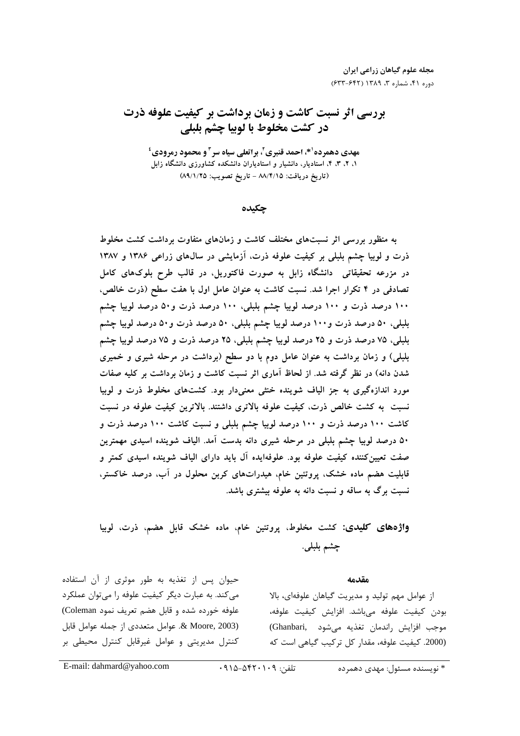مجله علوم گیاهان زراعی ایران دوره ۴۱، شماره ۳، ۱۳۸۹ (۶۳۲-۶۳۳)

## بررسی اثر نسبت کاشت و زمان برداشت بر کیفیت علوفه ذرت در كشت مخلوط با لوبيا چشم بلبلي

مهدي دهمرده<sup>۱</sup>\*، احمد قنبري<sup>۲</sup>، براتعلي سياه سر<sup>۳</sup>و محمود رمرودي<sup>ء</sup>ُ ۱، ۲، ۳، ۴، استادیار، دانشیار و استادیاران دانشکده کشاورزی دانشگاه زابل (تاريخ دريافت: ٨٨/٤/١٥ - تاريخ تصويب: ٨٩/١/٢٥)

حكىدە

به منظور بررسی اثر نسبتهای مختلف کاشت و زمانهای متفاوت برداشت کشت مخلوط ذرت و لوبیا چشم بلبلی بر کیفیت علوفه ذرت، آزمایشی در سالهای زراعی ۱۳۸۶ و ۱۳۸۷ در مزرعه تحقیقاتی ً دانشگاه زابل به صورت فاکتوریل، در قالب طرح بلوکهای کامل تصادفی در ۴ تکرار اجرا شد. نسبت کاشت به عنوان عامل اول با هفت سطح (ذرت خالص، ۱۰۰ درصد ذرت و ۱۰۰ درصد لوبیا چشم بلبلی، ۱۰۰ درصد ذرت و۵۰ درصد لوبیا چشم بلبلی، ۵۰ درصد ذرت و۱۰۰ درصد لوبیا چشم بلبلی، ۵۰ درصد ذرت و۵۰ درصد لوبیا چشم بلبلي، ٧۵ درصد ذرت و ٢٥ درصد لوبيا چشم بلبلي، ٢٥ درصد ذرت و ٧۵ درصد لوبيا چشم بلبلی) و زمان برداشت به عنوان عامل دوم با دو سطح (برداشت در مرحله شیری و خمیری شدن دانه) در نظر گرفته شد. از لحاظ آماری اثر نسبت کاشت و زمان برداشت بر کلیه صفات مورد اندازهگیری به جز الیاف شوینده خنثی معنیدار بود. کشتهای مخلوط ذرت و لوبیا نسبت به کشت خالص ذرت، کیفیت علوفه بالاتری داشتند. بالاترین کیفیت علوفه در نسبت کاشت ۱۰۰ درصد ذرت و ۱۰۰ درصد لوبیا چشم بلبلی و نسبت کاشت ۱۰۰ درصد ذرت و ۵۰ درصد لوبیا چشم بلبلی در مرحله شیری دانه بدست آمد. الیاف شوینده اسیدی مهمترین صفت تعیینکننده کیفیت علوفه بود. علوفهایده آل باید دارای الیاف شوینده اسیدی کمتر و قابلیت هضم ماده خشک، پروتئین خام، هیدراتهای کربن محلول در آب، درصد خاکستر، نسبت برگ به ساقه و نسبت دانه به علوفه بیشتری باشد.

واژههای کلیدی: کشت مخلوط، پروتئین خام، ماده خشک قابل هضم، ذرت، لوبیا چشم بلبلي.

## مقدمه

از عوامل مهم تولید و مدیریت گیاهان علوفهای، بالا بودن كيفيت علوفه مىباشد. افزايش كيفيت علوفه، موجب افزايش راندمان تغذيه مي شود . (Ghanbari) (2000. كيفيت علوفه، مقدار كل تركيب گياهي است كه

حیوان پس از تغذیه به طور موثری از آن استفاده می کند. به عبارت دیگر کیفیت علوفه را می توان عملکرد علوفه خورده شده و قابل هضم تعريف نمود Coleman) 2003). & Moore, عوامل متعددي از جمله عوامل قابل کنترل مدیریتی و عوامل غیرقابل کنترل محیطی بر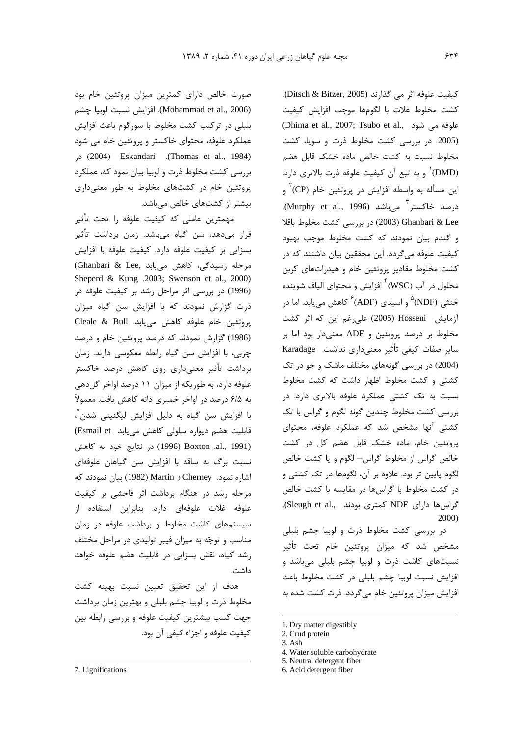صورت خالص دارای کمترین میزان پروتئین خام بود (Mohammad et al., 2006). افزايش نسبت لوبيا چشم بلبلی در ترکیب کشت مخلوط با سورگوم باعث افزایش عملکرد علوفه، محتوای خاکستر و پروتئین خام می شود crhomas et al., 1984). Eskandari (Thomas et al., 1984) بررسی کشت مخلوط ذرت و لوبیا بیان نمود که، عملکرد پروتئین خام در کشتهای مخلوط به طور معنیداری بیشتر از کشتهای خالص میباشد.

مهمترین عاملی که کیفیت علوفه را تحت تأثیر قرار مے،دھد، سن گیاہ مے،باشد. زمان برداشت تأثیر بسزايي بر كيفيت علوفه دارد. كيفيت علوفه با افزايش مرحله رسیدگی، کاهش می یابد .Ghanbari & Lee) Sheperd & Kung .2003; Swenson et al., 2000) (1996) در بررسی اثر مراحل رشد بر کیفیت علوفه در ذرت گزارش نمودند که با افزایش سن گیاه میزان یروتئین خام علوفه کاهش می بابد. Cleale & Bull (1986) گزارش نمودند که درصد پروتئین خام و درصد چربی، با افزایش سن گیاه رابطه معکوسی دارند. زمان برداشت تأثیر معنےداری روی کاهش درصد خاکستر علوفه دارد، به طوریکه از میزان ۱۱ درصد اواخر گلدهی به ۶/۵ درصد در اواخر خمیری دانه کاهش یافت. معمولاً با افزایش سن گیاه به دلیل افزایش لیگنینی شدن ٌ، قابلیت هضم دیواره سلولی کاهش می یابد Esmail et) c1996) Boxton .al., 1991) در نتايج خود به كاهش نسبت برگ به ساقه با افزایش سن گیاهان علوفهای اشاره نمود. Cherney و Martin بيان نمودند كه مرحله رشد در هنگام برداشت اثر فاحشی بر کیفیت علوفه غلات علوفهای دارد. بنابراین استفاده از سیستمهای کاشت مخلوط و برداشت علوفه در زمان مناسب و توجّه به میزان فیبر تولیدی در مراحل مختلف رشد گیاه، نقش بسزایی در قابلیت هضم علوفه خواهد داشت.

هدف از این تحقیق تعیین نسبت بهینه کشت مخلوط ذرت و لوبیا چشم بلبلی و بهترین زمان برداشت جهت کسب بیشترین کیفیت علوفه و بررسی رابطه بین كيفيت علوفه و اجزاء كيفي آن بود. كيفيت علوفه اثر مي گذارند (Ditsch & Bitzer, 2005). كشت مخلوط غلات با لگومها موجب افزايش كيفيت (Dhima et al., 2007; Tsubo et al., علوفه مي شود (2005. در بررسی کشت مخلوط ذرت و سویا، کشت مخلوط نسبت به كشت خالص ماده خشك قابل هضم (DMD) و به تبع آن کیفیت علوفه ذرت بالاتری دارد. این مسأله به واسطه افزایش در پروتئین خام (CP)<sup>۲</sup> و درصد خاکستر <sup>۳</sup> مے باشد (Murphy et al., 1996). Chanbari & Lee (2003) در بررسی کشت مخلوط باقلا و گندم بیان نمودند که کشت مخلوط موجب بهبود کیفیت علوفه می گردد. این محققین بیان داشتند که در کشت مخلوط مقادیر پروتئین خام و هیدراتهای کربن محلول در آب (WSC) <sup>۴</sup> افزایش و محتوای الیاف شوینده خنثی (NDF) <sup>۵</sup> و اسیدی (ADF) <sup>۶</sup> کاهش می بابد. اما د<sub>ر</sub> آزمایش Hosseni (2005) علی رغم این که اثر کشت مخلوط بر درصد پروتئین و ADF معنیدار بود اما بر سایر صفات کیفی تأثیر معنیداری نداشت. Karadage (2004) در بررسی گونههای مختلف ماشک و جو در تک کشتی و کشت مخلوط اظهار داشت که کشت مخلوط نسبت به تک کشتی عملکرد علوفه بالاتری دارد. در بررسی کشت مخلوط چندین گونه لگوم و گراس با تک کشتی آنها مشخص شد که عملکرد علوفه، محتوای یروتئین خام، ماده خشک قابل هضم کل در کشت خالص گراس از مخلوط گراس– لگوم و یا کشت خالص لگوم پایین تر بود. علاوه بر آن، لگومها در تک کشتی و در کشت مخلوط با گراسها در مقایسه با کشت خالص گراس ها دارای NDF کمتری بودند .Sleugh et al.,  $2000$ 

در بررسی کشت مخلوط ذرت و لوبیا چشم بلبلی مشخص شد که میزان پروتئین خام تحت تأثیر نسبتهای کاشت ذرت و لوبیا چشم بلبلی میباشد و افزایش نسبت لوبیا چشم بلبلی در کشت مخلوط باعث افزایش میزان پروتئین خام می گردد. ذرت کشت شده به

<sup>1.</sup> Dry matter digestibly

<sup>2.</sup> Crud protein

<sup>3.</sup> Ash

<sup>4.</sup> Water soluble carbohydrate

<sup>5.</sup> Neutral detergent fiber

<sup>6.</sup> Acid detergent fiber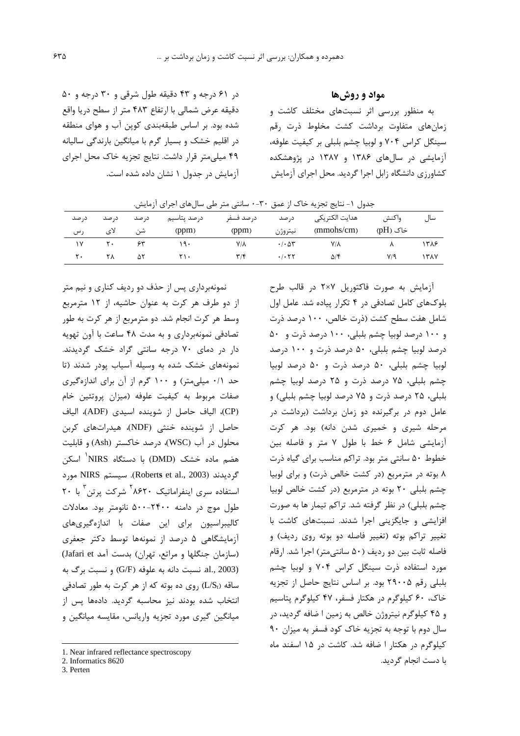در ۶۱ درجه و ۴۳ دقیقه طول شرقی و ۳۰ درجه و ۵۰ دقیقه عرض شمالی با ارتفاع ۴۸۳ متر از سطح دریا واقع شده بود. بر اساس طبقهبندی کوین آب و هوای منطقه در اقلیم خشک و بسیار گرم با میانگین بارندگی سالیانه ۴۹ میلی متر قرار داشت. نتایج تجزیه خاک محل اجرای آزمایش در جدول ١ نشان داده شده است. مواد و روشها

به منظور بررسی اثر نسبتهای مختلف کاشت و زمان های متفاوت برداشت کشت مخلوط ذرت رقم سینگل کراس ۷۰۴ و لوبیا چشم بلبلی بر کیفیت علوفه، آزمایشی در سالهای ۱۳۸۶ و ۱۳۸۷ در پژوهشکده کشاورزی دانشگاه زابل اجرا گردید. محل اجرای آزمایش

| جدول ١- نتايج تجزيه خاک از عمق ٣٠-٠ سانتي متر طي سالهاي اجراي آزمايش. |                   |       |                            |                         |                                 |                |          |      |  |  |  |
|-----------------------------------------------------------------------|-------------------|-------|----------------------------|-------------------------|---------------------------------|----------------|----------|------|--|--|--|
| د, صد                                                                 | د, صد             | د, صد | درصد يتاسيم                | د, صد فسفر              | د, صد                           | هدايت الكتريكي | واكنش    | سال  |  |  |  |
| رس                                                                    | لای               | شن    | (ppm)                      | (ppm)                   | نيتروژن                         | (mmohs/cm)     | خاک (pH) |      |  |  |  |
|                                                                       | $\mathsf{r}\cdot$ | ۶۳    | ۱۹۰                        | Y/A                     | $\cdot$ / $\cdot$ $\Delta \tau$ | Y/A            |          | ۱۳۸۶ |  |  |  |
| ٢٠                                                                    | ۲λ                | ۵۲    | $\mathsf{Y}\setminus\cdot$ | $\mathbf{r}/\mathbf{r}$ | .7.57                           | ۵/۴            | ۷/۹      | ۱۳۸۷ |  |  |  |

نمونهبرداری پس از حذف دو ردیف کناری و نیم متر از دو طرف هر کرت به عنوان حاشیه، از ۱۲ مترمربع وسط هر کرت انجام شد. دو مترمربع از هر کرت به طور تصادفی نمونهبرداری و به مدت ۴۸ ساعت با آون تهویه دار در دمای ۷۰ درجه سانتی گراد خشک گردیدند. نمونههای خشک شده به وسیله آسیاب پودر شدند (تا حد ٠/١ میلی متر) و ١٠٠ گرم از آن برای اندازهگیری صفات مربوط به کیفیت علوفه (میزان پروتئین خام (CP)، الياف حاصل از شوينده اسيدى (ADF)، الياف حاصل از شوینده خنثی (NDF)، هیدراتهای کربن محلول در آب (WSC)، درصد خاکستر (Ash) و قابلیت هضم ماده خشک (DMD) با دستگاه NIRS<sup>'</sup> اسکن گرديدند (Roberts et al., 2003). سيستم NIRS مورد استفاده سری اینفراماتیک ۸۶۲۰<sup>۰ </sup>شرکت پرتن با ۲۰ طول موج در دامنه ۲۴۰۰-۵۰۰ نانومتر بود. معادلات كاليبراسيون براي اين صفات با اندازهگيريهاي آزمایشگاهی ۵ درصد از نمونهها توسط دکتر جعفری (سازمان جنگلها و مراتع، تهران) بدست آمد Jafari et) al., 2003). نسبت دانه به علوفه (G/F) و نسبت برگ به ساقه (L/St) روی ده بوته که از هر کرت به طور تصادفی انتخاب شده بودند نیز محاسبه گردید. دادهها پس از میانگین گیری مورد تجزیه واریانس، مقایسه میانگین و

3. Perten

آزمایش به صورت فاکتوریل ۲×۲ در قالب طرح بلوکهای کامل تصادفی در ۴ تکرار پیاده شد. عامل اول شامل هفت سطح کشت (ذرت خالص، ۱۰۰ درصد ذرت و ١٠٠ درصد لوبيا چشم بلبلي، ١٠٠ درصد ذرت و ۵٠ درصد لوبيا چشم بلبلي، ۵۰ درصد ذرت و ۱۰۰ درصد لوبيا چشم بلبلي، ۵۰ درصد ذرت و ۵۰ درصد لوبيا چشم بلبلی، ۷۵ درصد ذرت و ۲۵ درصد لوبیا چشم بلبلی، ۲۵ درصد ذرت و ۷۵ درصد لوبیا چشم بلبلی) و عامل دوم در برگیرنده دو زمان برداشت (برداشت در مرحله شیری و خمیری شدن دانه) بود. هر کرت آزمایشی شامل ۶ خط با طول ۷ متر و فاصله بین خطوط ۵۰ سانتی متر بود. تراکم مناسب برای گیاه ذرت ۸ بوته در مترمربع (در کشت خالص ذرت) و برای لوبیا چشم بلبلی ٢٠ بوته در مترمربع (در كشت خالص لوبيا چشم بلبلی) در نظر گرفته شد. تراکم تیمار ها به صورت افزایشی و جایگزینی اجرا شدند. نسبتهای کاشت با تغییر تراکم بوته (تغییر فاصله دو بوته روی ردیف) و فاصله ثابت بین دو ردیف (۵۰ سانتی متر) اجرا شد. ارقام مورد استفاده ذرت سینگل کراس ۷۰۴ و لوبیا چشم بلبلی رقم ٢٩٠٠۵ بود. بر اساس نتایج حاصل از تجزیه خاک، ۶۰ کیلوگرم در هکتار فسفر، ۴۷ کیلوگرم پتاسیم و ۴۵ کیلوگرم نیتروژن خالص به زمین ا ضافه گردید، در سال دوم با توجه به تجزیه خاک کود فسفر به میزان ۹۰ کیلوگرم در هکتار ا ضافه شد. کاشت در ۱۵ اسفند ماه با دست انجام گردید.

<sup>1.</sup> Near infrared reflectance spectroscopy

<sup>2.</sup> Informatics 8620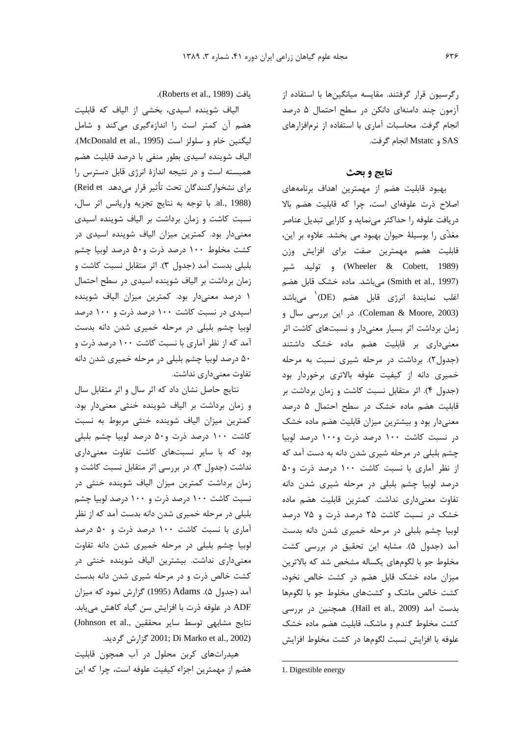رگرسیون قرار گرفتند. مقایسه میانگینها با استفاده از آزمون چند دامنهای دانکن در سطح احتمال ۵ درصد انجام گرفت. محاسبات آماری با استفاده از نرمافزارهای SAS و Mstatc انجام گرفت.

## نتايج و بحث

بهبود قابلیت هضم از مهمترین اهداف برنامههای اصلاح ذرت علوفهای است، چرا که قابلیت هضم بالا دریافت علوفه را حداکثر مینماید و کارایی تبدیل عناصر مغذَّى را بوسيلهٔ حيوان بهبود مي بخشد. علاوه بر اين، قابلیت هضم مهمترین صفت برای افزایش وزن (Wheeler & Cobett, 1989) و توليد شير (Smith et al., 1997) می باشد. ماده خشک قابل هضم اغلب نمایندهٔ انرژی قابل هضم (DE)<sup>۱</sup> میباشد (Coleman & Moore, 2003). در این بررسی سال و زمان برداشت اثر بسیار معنیدار و نسبتهای کاشت اثر معنیداری بر قابلیت هضم ماده خشک داشتند (جدول ٢). برداشت در مرحله شيرى نسبت به مرحله خمیری دانه از کیفیت علوفه بالاتری برخوردار بود (جدول ۴). اثر متقابل نسبت كاشت و زمان برداشت بر قابلیت هضم ماده خشک در سطح احتمال ۵ درصد معنیدار بود و بیشترین میزان قابلیت هضم ماده خشک در نسبت کاشت ۱۰۰ درصد ذرت و۱۰۰ درصد لوبیا چشم بلبلی در مرحله شیری شدن دانه به دست آمد که از نظر آماری با نسبت کاشت ۱۰۰ درصد ذرت و۵۰ درصد لوبیا چشم بلبلی در مرحله شیری شدن دانه تفاوت معنى دارى نداشت. كمترين قابليت هضم ماده خشک در نسبت کاشت ۲۵ درصد ذرت و ۷۵ درصد لوبیا چشم بلبلی در مرحله خمیری شدن دانه بدست آمد (جدول ۵). مشابه این تحقیق در بررسی کشت مخلوط جو با لگومهای یکساله مشخص شد که بالاترین میزان ماده خشک قابل هضم در کشت خالص نخود، کشت خالص ماشک و کشتهای مخلوط جو با لگومها بدست آمد (Hail et al., 2009). همچنین در بررسی کشت مخلوط گندم و ماشک، قابلیت هضم ماده خشک علوفه با افزایش نسبت لگومها در کشت مخلوط افزایش

.(Roberts et al., 1989).

الیاف شوینده اسیدی، بخشی از الیاف که قابلیت هضم آن کمتر است را اندازهگیری میکند و شامل ليكنين خام و سلولز است (McDonald et al., 1995). الياف شوينده اسيدى بطور منفى با درصد قابليت هضم همبسته است و در نتیجه اندازهٔ انرژی قابل دسترس را برای نشخوار کنندگان تحت تأثیر قرار میدهد Reid et) al., 1988). با توجه به نتايج تجزيه واريانس اثر سال، نسبت کاشت و زمان برداشت بر الیاف شوینده اسیدی معنیدار بود. کمترین میزان الیاف شوینده اسیدی در کشت مخلوط ۱۰۰ درصد ذرت و۵۰ درصد لوبیا چشم بلبلي بدست آمد (جدول ٣). اثر متقابل نسبت كاشت و زمان برداشت بر الياف شوينده اسيدى در سطح احتمال ۱ درصد معنیدار بود. کمترین میزان الیاف شوینده اسیدی در نسبت کاشت ۱۰۰ درصد ذرت و ۱۰۰ درصد لوبیا چشم بلبلی در مرحله خمیری شدن دانه بدست آمد که از نظر آماری با نسبت کاشت ۱۰۰ درصد ذرت و ۵۰ درصد لوبیا چشم بلبلی در مرحله خمیری شدن دانه تفاوت معنىدارى نداشت.

نتایج حاصل نشان داد که اثر سال و اثر متقابل سال و زمان برداشت بر الياف شوينده خنثى معنى دار بود. كمترين ميزان الياف شوينده خنثى مربوط به نسبت کاشت ۱۰۰ درصد ذرت و۵۰ درصد لوبیا چشم بلبلی بود که با سایر نسبتهای کاشت تفاوت معنیداری نداشت (جدول ٣). در بررسي اثر متقابل نسبت كاشت و زمان برداشت کمترین میزان الیاف شوینده خنثی در نسبت کاشت ۱۰۰ درصد ذرت و ۱۰۰ درصد لوبیا چشم بلبلی در مرحله خمیری شدن دانه بدست آمد که از نظر آماری با نسبت کاشت ۱۰۰ درصد ذرت و ۵۰ درصد لوبیا چشم بلبلی در مرحله خمیری شدن دانه تفاوت معنیداری نداشت. بیشترین الیاف شوینده خنثی در کشت خالص ذرت و در مرحله شیری شدن دانه بدست آمد (جدول ۵). Adams (1995) گزارش نمود که میزان ADF در علوفه ذرت با افزایش سن گیاه کاهش می یابد. نتايج مشابهى توسط ساير محققين ,Johnson et al. 2001; Di Marko et al., 2002) گزارش گردید.

هیدراتهای کربن محلول در آب همچون قابلیت هضم از مهمترین اجزاء کیفیت علوفه است، چرا که این

<sup>1.</sup> Digestible energy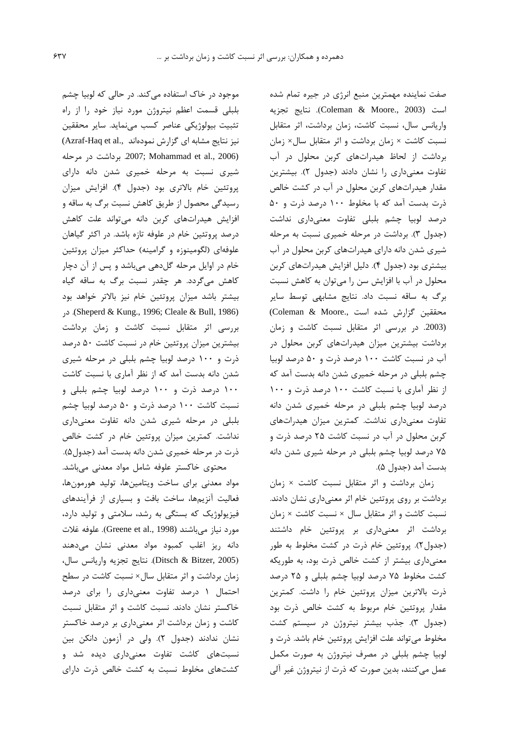موجود در خاک استفاده می کند. در حالی که لوبیا چشم بلبلی قسمت اعظم نیتروژن مورد نیاز خود را از راه تثبيت بيولوژيكي عناصر كسب مي نمايد. ساير محققين نیز نتایج مشابه ای گزارش نمودهاند ..(Azraf-Haq et al 2007; Mohammad et al., 2006). برداشت در مرحله شیری نسبت به مرحله خمیری شدن دانه دارای پروتئین خام بالاتری بود (جدول ۴). افزایش میزان رسیدگی محصول از طریق کاهش نسبت برگ به ساقه و افزایش هیدراتهای کربن دانه میتواند علت کاهش درصد پروتئین خام در علوفه تازه باشد. در اکثر گیاهان علوفهای (لگومینوزه و گرامینه) حداکثر میزان پروتئین خام در اوایل مرحله گلدهی میباشد و پس از آن دچار كاهش مىگردد. هر چقدر نسبت برگ به ساقه گياه بیشتر باشد میزان پروتئین خام نیز بالاتر خواهد بود Sheperd & Kung., 1996; Cleale & Bull, 1986). در بررسی اثر متقابل نسبت کاشت و زمان برداشت بیشترین میزان پروتئین خام در نسبت کاشت ۵۰ درصد ذرت و ١٠٠ درصد لوبيا چشم بلبلي در مرحله شيري شدن دانه بدست آمد که از نظر آماری با نسبت کاشت ۱۰۰ درصد ذرت و ۱۰۰ درصد لوبیا چشم بلبلی و نسبت کاشت ۱۰۰ درصد ذرت و ۵۰ درصد لوبیا چشم بلبلی در مرحله شیری شدن دانه تفاوت معنیداری نداشت. کمترین میزان پروتئین خام در کشت خالص ذرت در مرحله خمیری شدن دانه بدست آمد (جدول۵). محتوى خاكستر علوفه شامل مواد معدنى مىباشد.

مواد معدنى براى ساخت ويتامينها، توليد هورمونها، فعالیت آنزیمها، ساخت بافت و بسیاری از فرآیندهای فیزیولوژیک که بستگی به رشد، سلامتی و تولید دارد، مورد نياز ميباشند (Greene et al., 1998). علوفه غلات دانه ریز اغلب کمبود مواد معدنی نشان میدهند (Ditsch & Bitzer, 2005). نتايج تجزيه واريانس سال، زمان برداشت و اثر متقابل سال× نسبت کاشت در سطح احتمال ۱ درصد تفاوت معنیداری را برای درصد خاکستر نشان دادند. نسبت کاشت و اثر متقابل نسبت کاشت و زمان برداشت اثر معنیداری بر درصد خاکستر نشان ندادند (جدول ٢). ولي در آزمون دانكن بين نسبتهای کاشت تفاوت معنیداری دیده شد و کشتهای مخلوط نسبت به کشت خالص ذرت دارای

صفت نماینده مهمترین منبع انرژی در جیره تمام شده است (Coleman & Moore., 2003). نتايج تجزيه واریانس سال، نسبت کاشت، زمان برداشت، اثر متقابل نسبت كاشت × زمان برداشت و اثر متقابل سال× زمان برداشت از لحاظ هیدراتهای کربن محلول در آب تفاوت معنى دارى را نشان دادند (جدول ٢). بيشترين مقدار هیدراتهای کربن محلول در آب در کشت خالص ذرت بدست آمد که با مخلوط ۱۰۰ درصد ذرت و ۵۰ درصد لوبیا چشم بلبلی تفاوت معنیداری نداشت (جدول ٣). برداشت در مرحله خميري نسبت به مرحله شیری شدن دانه دارای هیدراتهای کربن محلول در آب بیشتری بود (جدول ۴). دلیل افزایش هیدراتهای کربن محلول در آب با افزایش سن را میتوان به کاهش نسبت برگ به ساقه نسبت داد. نتایج مشابهی توسط سایر محققين گزارش شده است. (Coleman & Moore. (2003. در بررسی اثر متقابل نسبت کاشت و زمان برداشت بیشترین میزان هیدراتهای کربن محلول در آب در نسبت کاشت ۱۰۰ درصد ذرت و ۵۰ درصد لوبیا چشم بلبلی در مرحله خمیری شدن دانه بدست آمد که از نظر آماری با نسبت کاشت ۱۰۰ درصد ذرت و ۱۰۰ درصد لوبیا چشم بلبلی در مرحله خمیری شدن دانه تفاوت معنى دارى نداشت. كمترين ميزان هيدراتهاى کربن محلول در آب در نسبت کاشت ۲۵ درصد ذرت و ۷۵ درصد لوبیا چشم بلبلی در مرحله شیری شدن دانه بدست آمد (جدول ۵).

زمان برداشت و اثر متقابل نسبت كاشت × زمان برداشت بر روی پروتئین خام اثر معنیداری نشان دادند. نسبت كاشت و اثر متقابل سال × نسبت كاشت × زمان برداشت اثر معنى دارى بر پروتئين خام داشتند (جدول٢). پروتئين خام ذرت در كشت مخلوط به طور معنی داری بیشتر از کشت خالص ذرت بود، به طوریکه کشت مخلوط ۷۵ درصد لوبیا چشم بلبلی و ۲۵ درصد ذرت بالاترین میزان پروتئین خام را داشت. کمترین مقدار پروتئین خام مربوط به کشت خالص ذرت بود (جدول ٣). جذب بيشتر نيتروژن در سيستم كشت مخلوط می تواند علت افزایش پروتئین خام باشد. ذرت و لوبیا چشم بلبلی در مصرف نیتروژن به صورت مکمل عمل میکنند، بدین صورت که ذرت از نیتروژن غیر آلی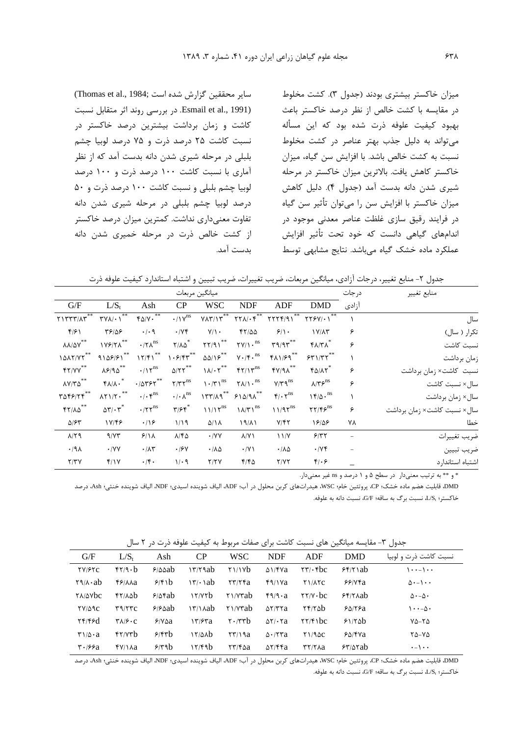سایر محققین گزارش شده است :Thomas et al., 1984) .Esmail et al., 1991). در بررسی روند اثر متقابل نسبت کاشت و زمان برداشت بیشترین درصد خاکستر در نسبت کاشت ۲۵ درصد ذرت و ۷۵ درصد لوبیا چشم بلبلی در مرحله شیری شدن دانه بدست آمد که از نظر آماری با نسبت کاشت ۱۰۰ درصد ذرت و ۱۰۰ درصد لوبيا چشم بلبلي و نسبت كاشت ١٠٠ درصد ذرت و ۵٠ درصد لوبیا چشم بلبلی در مرحله شیری شدن دانه تفاوت معنی داری نداشت. کمترین میزان درصد خاکستر از کشت خالص ذرت در مرحله خمیری شدن دانه ىدست آمد.

میزان خاکستر بیشتری بودند (جدول ۳). کشت مخلوط در مقایسه با کشت خالص از نظر درصد خاکستر باعث بهبود کیفیت علوفه ذرت شده بود که این مسأله می تواند به دلیل جذب بهتر عناصر در کشت مخلوط نسبت به کشت خالص باشد. با افزایش سن گیاه، میزان خاکستر کاهش یافت. بالاترین میزان خاکستر در مرحله شيري شدن دانه بدست آمد (جدول ۴). دليل كاهش میزان خاکستر با افزایش سن را میتوان تأثیر سن گیاه در فرایند رقیق سازی غلظت عناصر معدنی موجود در اندامهای گیاهی دانست که خود تحت تأثیر افزایش عملکرد ماده خشک گیاه می باشد. نتایج مشابهی توسط

جدول ٢- منابع تغيير، درجات آزادي، ميانگين مربعات، ضريب تغييرات، ضريب تبيين و اشتباه استاندارد كيفيت علوفه ذرت

|                                                                            |                                                   |                                                                            | ميانگين مربعات                    |                                      |                                                  |                                               |                                                         | درجات             | منابع تغيير                 |
|----------------------------------------------------------------------------|---------------------------------------------------|----------------------------------------------------------------------------|-----------------------------------|--------------------------------------|--------------------------------------------------|-----------------------------------------------|---------------------------------------------------------|-------------------|-----------------------------|
| G/F                                                                        | $L/S_{t}$                                         | Ash                                                                        | CP                                | <b>WSC</b>                           | <b>NDF</b>                                       | ADF                                           | <b>DMD</b>                                              | آزادی             |                             |
| $Y1YYY/XY**$                                                               | **<br>$\Upsilon$ $V$ $\Lambda$ $\cdot$ $\Upsilon$ | $FQ/V \cdot$                                                               | $\cdot/\gamma^{\text{ns}}$        | $Y\Lambda Y/\Lambda^{**}$            | $\mathsf{Y}\mathsf{Y}\mathsf{A}/\mathsf{F}^{**}$ | $YYYF/91$                                     | $\Upsilon \Upsilon \in V / \cdot V$                     |                   | سال                         |
| f/5                                                                        | 48188                                             | $\cdot$ / $\cdot$ 9                                                        | $\cdot$ /Y۴                       | $Y/\lambda$ .                        | YY/00                                            | 9/1.                                          | $1V/\Lambda$ ۳                                          | ۶                 | تکرار ( سال)                |
| $\lambda\lambda/\Delta\Upsilon^{**}$                                       | ۱۷۶/۲۸ <sup>**</sup>                              | $\cdot$ /۲ $\Lambda$ <sup>ns</sup>                                         | $Y/\lambda \Delta^*$              | YY/91                                | $\Upsilon V/\Upsilon$ <sup>ns</sup>              | $\mathbf{r}$ 9/9 $\mathbf{r}^{**}$            | <b>۴۸/۳۸</b>                                            | ۶                 | نسبت كاشت                   |
| 1017/YY                                                                    | $910951***$                                       | 17/F1                                                                      | $\gamma \cdot \frac{5}{5}$        | $\Delta\Delta/\Upsilon^{**}$         | $\gamma \cdot / \mathfrak{f} \cdot^{\text{ns}}$  | $f\Lambda$ $1/fq$ **                          | $55$ $/55$                                              |                   | زمان برداشت                 |
| $FY/YY$ **                                                                 | $\lambda$ ۶/۹۵ <sup>**</sup>                      | $\cdot/\gamma^{\rm ns}$                                                    | $\Delta/\Upsilon\Upsilon^{**}$    | $\lambda/\cdot \gamma^{**}$          | $f\gamma/\gamma^{ns}$                            | $fV/9\Lambda$                                 | $f\Delta/\lambda\gamma^*$                               | ۶                 | نسبت کاشت× زمان برداشت      |
| $\lambda V/T\Delta$ **                                                     | $f\Lambda/\Lambda \cdot$                          | $\cdot$ / $\Delta$ ۳۶۲ $*$                                                 | $Y/YY$ <sup>ns</sup>              | $\left(\frac{1}{\gamma}\right)^{ns}$ | $\Upsilon\Lambda/\Upsilon$ <sup>ns</sup>         | $V/Y$ q <sup>ns</sup>                         | $\lambda/\Upsilon S^{\rm ns}$                           | ۶                 | سال× نسبت كاشت              |
| $\mathbf{r}\Delta\mathbf{f}\mathbf{\mathcal{S}}/\mathbf{f}\mathbf{f}^{**}$ | $\lambda$ $\gamma$ $\lambda$ $\gamma$ $\cdot$ **  | $\cdot/\cdot \, \mathbf{y}^{\text{ns}}$                                    | $\cdot/\cdot \lambda^{\text{ns}}$ |                                      | $177/A9^{**} 510/A^{**}$                         | $\mathfrak{r}/\cdot \mathfrak{r}^{\text{ns}}$ | $\gamma \xi / \Delta \cdot$ <sup>ns</sup>               |                   | سال× زمان برداشت            |
| $YY/ \Lambda \Delta$ **                                                    | $\Delta \Upsilon / \cdot \Upsilon^*$              | $\boldsymbol{\cdot} / \boldsymbol{\gamma} \boldsymbol{\gamma}^{\text{ns}}$ | $\mathbf{y}/\mathbf{y}$           | $11/17^{ns}$                         | $1\lambda/\Upsilon$ <sup>ns</sup>                | $11/97^{ns}$                                  | $\mathbf{Y}\mathbf{Y}/\mathbf{Y}\mathbf{S}^{\text{ns}}$ | ۶                 | سال× نسبت كاشت× زمان برداشت |
| $\Delta$ / $\epsilon$ ۳                                                    | 17/48                                             | $\cdot$ /16                                                                | 1/19                              | $\Delta/\Lambda$                     | $19/\lambda$                                     | $Y/\mathfrak{f}\mathfrak{r}$                  | 18/08                                                   | ٧٨                | خطا                         |
| $\lambda$ /٢٩                                                              | 9/YY                                              | 9/11                                                                       | $\lambda$ /۴۵                     | $\cdot$ /YY                          | $\lambda$ /Y \                                   | 11/Y                                          | 5/77                                                    | $\qquad \qquad -$ | ضريب تغييرات                |
| $.44\lambda$                                                               | $\cdot$ /YY                                       | $\cdot/\lambda\tau$                                                        | .19Y                              | $\cdot/\lambda\Delta$                | $\cdot$ /Y \                                     | $\cdot/\lambda\Delta$                         | $\cdot$ / $\vee$ $\check{\tau}$                         | $\qquad \qquad -$ | ضريب تبيين                  |
| Y/YY                                                                       | f/Y                                               | $\cdot$ /۴.                                                                | $1/\cdot$ 9                       | Y/YY                                 | $F/F\Delta$                                      | Y/YY                                          | $f(\cdot)$                                              |                   | اشتباه استاندار د           |

\* و \*\* به ترتیب معنیدار (در سطح ۵ و ۱ درصد و ns غیر معنیدار.

DMD، قابليت هضم ماده خشک؛ CP، پروتئين خام؛ WSC، هيدراتهاي كربن محلول در آب؛ ADF، الياف شوينده اسيدي؛ NDF، الياف شوينده خنثي؛ Ash، درصد خاکستر؛ L/S، نسبت برگ به ساقه؛ G/F، نسبت دانه به علوفه.

جدول ٣- مقايسه ميانگين هاي نسبت كاشت براي صفات مربوط به كيفيت علوفه ذرت در ٢ سال

| G/F                                                    | $L/S_t$                                                 | Ash           | CP                                                                                                                                                                                                                                 | <b>WSC</b>                                                      | <b>NDF</b>                          | ADF                                                            | <b>DMD</b>     | نسبت کاشت ذرت و لوبیا         |
|--------------------------------------------------------|---------------------------------------------------------|---------------|------------------------------------------------------------------------------------------------------------------------------------------------------------------------------------------------------------------------------------|-----------------------------------------------------------------|-------------------------------------|----------------------------------------------------------------|----------------|-------------------------------|
| YV/FYC                                                 | $fY/9 \cdot b$                                          | 9/8ab         | $\frac{17}{7}$ ab                                                                                                                                                                                                                  | Y1/1Vb                                                          | $\Delta$ \/f $\sqrt{a}$             | $\mathbf{r} \mathbf{r} \cdot \mathbf{r}$                       | $55/7$ \ab     | $\cdots$ $\cdots$             |
| $\mathbf{Y} \mathbf{9} / \mathbf{A} \cdot \mathbf{ab}$ | <b>۴۶/лла</b>                                           | 9/5 b         | $\Upsilon$ \cdots \cdots \cdots \cdots \cdots \cdots \cdots \cdots \cdots \cdots \cdots \cdots \cdots \cdots \cdots \cdots \cdots \cdots \cdots \cdots \cdots \cdots \cdots \cdots \cdots \cdots \cdots \cdots \cdots \cdots \cdot | $\mathbf{r} \mathbf{r} / \mathbf{r} \mathbf{r}$ a               | $f \frac{q}{x}$                     | <b>TIATC</b>                                                   | 55/44          | $\Delta$ . $-\Delta$          |
| <b>TA/AVbc</b>                                         | $f$ $\lambda$                                           | $9/8$ rab     | $\frac{17}{100}$                                                                                                                                                                                                                   | $Y\frac{1}{Y}$                                                  | $f \circ \alpha$                    | $\mathsf{Y}\mathsf{Y}/\mathsf{Y}\cdot\mathsf{bc}$              | 55/12          | $\Delta \cdot - \Delta \cdot$ |
| $YV/\Delta$ 9 $C$                                      | $\mathbf{r}\mathbf{a}/\mathbf{r}\mathbf{r}$             | 9/8ab         | \۳/۱۸ab                                                                                                                                                                                                                            | $Y\vee Y$ rab                                                   | $\Delta Y/Y$ ra                     | $Yf/Y\Delta b$                                                 | 80/8a          | $\cdot \cdot - \Delta$ .      |
| $\mathbf{Y} \mathbf{Y} / \mathbf{Y} \mathbf{Z}$        | $\mathbf{Y}$ $\mathbf{A}$ $\mathbf{P} \cdot \mathbf{C}$ | $P/V\Delta a$ | ۱۳/۶۳a                                                                                                                                                                                                                             | $\mathbf{r} \cdot \mathbf{r}$                                   | $\Delta Y / \cdot \tau a$           | $\mathsf{Y}\mathsf{Y}/\mathsf{F}$                              | 51/3b          | ۲۵–۲۵                         |
| $\mathbf{r}\wedge\mathbf{r}\cdot\mathbf{a}$            | $f\$ / $V\uparrow b$                                    | 5/5           | ۱۲/۵۸b                                                                                                                                                                                                                             | $\mathbf{r}\mathbf{r}/\mathbf{a}$                               | $\Delta \cdot$ $\Delta \cdot \pi a$ | $Y1/9\Delta C$                                                 | $8\Delta$ /۴۷a | ۲۵-۷۵                         |
| $\mathbf{r} \cdot \mathbf{199a}$                       | $Y/\lambda a$                                           | 5/4b          | ۱۲/۴۹b                                                                                                                                                                                                                             | $\mathbf{Y} \mathbf{Y} / \mathbf{Y} \mathbf{\Delta} \mathbf{a}$ | $\Delta Y$ /۴۴a                     | $\mathsf{r}\mathsf{r}\mathsf{r}\mathsf{r}\mathsf{r}\mathsf{a}$ | $54/8$ rab     | $\cdot - \cdot$               |
|                                                        |                                                         |               |                                                                                                                                                                                                                                    |                                                                 |                                     |                                                                |                |                               |

DMD، قابليت هضم ماده خشک؛ CP، پروتئين خام؛ WSC، هيدراتهاي كربن محلول در آب؛ ADF، الياف شوينده اسيدي؛ NDF، الياف شوينده خنثي؛ Ash، درصد خاكستر؛ L/S، نسبت برگ به ساقه؛ G/F، نسبت دانه به علوفه.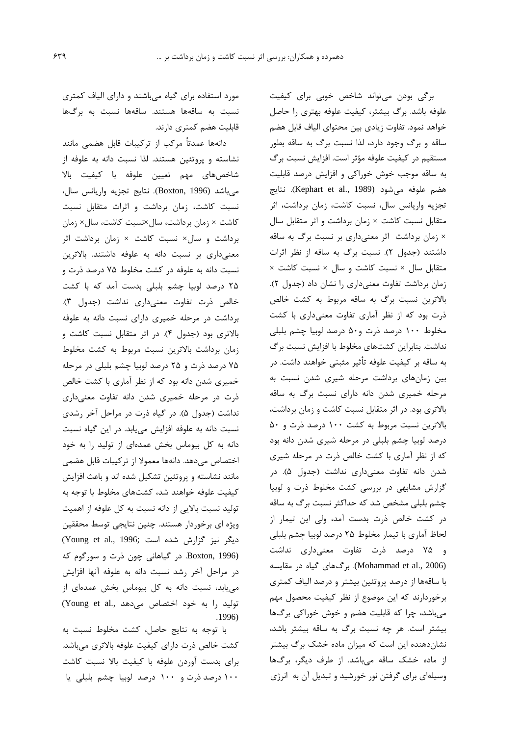برگی بودن می تواند شاخص خوبی برای کیفیت علوفه باشد. برگ بیشتر، کیفیت علوفه بهتری را حاصل خواهد نمود. تفاوت زيادي بين محتواي الياف قابل هضم ساقه و برگ وجود دارد، لذا نسبت برگ به ساقه بطور مستقیم در کیفیت علوفه مؤثر است. افزایش نسبت برگ به ساقه موجب خوش خوراکی و افزایش درصد قابلیت هضم علوفه مي شود (Kephart et al., 1989). نتايج تجزیه واریانس سال، نسبت کاشت، زمان برداشت، اثر متقابل نسبت کاشت × زمان برداشت و اثر متقابل سال × زمان برداشت اثر معنىدارى بر نسبت برگ به ساقه داشتند (جدول ٢). نسبت برگ به ساقه از نظر اثرات متقابل سال × نسبت كاشت و سال × نسبت كاشت × زمان برداشت تفاوت معنى دارى را نشان داد (جدول ٢). بالاترین نسبت برگ به ساقه مربوط به کشت خالص ذرت بود که از نظر آماری تفاوت معنیداری با کشت مخلوط ١٠٠ درصد ذرت و۵٠ درصد لوبيا چشم بلبلي نداشت. بنابراین کشتهای مخلوط با افزایش نسبت برگ به ساقه بر کیفیت علوفه تأثیر مثبتی خواهند داشت. در بین زمانهای برداشت مرحله شیری شدن نسبت به مرحله خمیری شدن دانه دارای نسبت برگ به ساقه بالاتری بود. در اثر متقابل نسبت کاشت و زمان برداشت، بالاترین نسبت مربوط به کشت ۱۰۰ درصد ذرت و ۵۰ درصد لوبیا چشم بلبلی در مرحله شیری شدن دانه بود که از نظر آماری با کشت خالص ذرت در مرحله شیری شدن دانه تفاوت معنیداری نداشت (جدول ۵). در گزارش مشابهی در بررسی کشت مخلوط ذرت و لوبیا چشم بلبلی مشخص شد که حداکثر نسبت برگ به ساقه در کشت خالص ذرت بدست آمد، ولی این تیمار از لحاظ آماري با تيمار مخلوط ٢۵ درصد لوبيا چشم بلبلي و ۷۵ درصد ذرت تفاوت معنیداری نداشت (Mohammad et al., 2006). برگهای گیاه در مقایسه با ساقهها از درصد پروتئین بیشتر و درصد الیاف کمتری برخوردارند كه اين موضوع از نظر كيفيت محصول مهم میباشد، چرا که قابلیت هضم و خوش خوراکی برگها بیشتر است. هر چه نسبت برگ به ساقه بیشتر باشد، نشان دهنده این است که میزان ماده خشک برگ بیشتر از ماده خشک ساقه میباشد. از طرف دیگر، برگها وسیلهای برای گرفتن نور خورشید و تبدیل آن به انرژی

مورد استفاده برای گیاه میباشند و دارای الیاف کمتری نسبت به ساقهها هستند. ساقهها نسبت به برگها قابلیت هضم کمتری دارند.

دانهها عمدتاً مركب از تركيبات قابل هضمى مانند نشاسته و پروتئین هستند. لذا نسبت دانه به علوفه از شاخصهای مهم تعیین علوفه با کیفیت بالا مي باشد (Boxton, 1996). نتايج تجزيه واريانس سال، نسبت کاشت، زمان برداشت و اثرات متقابل نسبت كاشت × زمان برداشت، سال×نسبت كاشت، سال× زمان برداشت و سال× نسبت کاشت × زمان برداشت اثر معنىدارى بر نسبت دانه به علوفه داشتند. بالاترين نسبت دانه به علوفه در کشت مخلوط ۷۵ درصد ذرت و ۲۵ درصد لوبیا چشم بلبلی بدست آمد که با کشت خالص ذرت تفاوت معنى دارى نداشت (جدول ٣). برداشت در مرحله خمیری دارای نسبت دانه به علوفه بالاتری بود (جدول ۴). در اثر متقابل نسبت کاشت و زمان برداشت بالاترين نسبت مربوط به كشت مخلوط ۷۵ درصد ذرت و ۲۵ درصد لوبیا چشم بلبلی در مرحله خمیری شدن دانه بود که از نظر آماری با کشت خالص ذرت در مرحله خمیری شدن دانه تفاوت معنیداری نداشت (جدول ۵). در گیاه ذرت در مراحل آخر رشدی نسبت دانه به علوفه افزایش می یابد. در این گیاه نسبت دانه به کل بیوماس بخش عمدهای از تولید را به خود اختصاص مىدهد. دانهها معمولا از تركيبات قابل هضمى مانند نشاسته و پروتئین تشکیل شده اند و باعث افزایش کیفیت علوفه خواهند شد، کشتهای مخلوط با توجه به توليد نسبت بالايي از دانه نسبت به كل علوفه از اهميت ویژه ای برخوردار هستند. چنین نتایجی توسط محققین (Young et al., 1996; شده است) Boxton, 1996). در گیاهانی چون ذرت و سورگوم که در مراحل آخر رشد نسبت دانه به علوفه آنها افزايش می یابد، نسبت دانه به کل بیوماس بخش عمدهای از تولید را به خود اختصاص می دهد .(Young et al  $.1996)$ 

با توجه به نتايج حاصل، كشت مخلوط نسبت به كشت خالص ذرت داراي كيفيت علوفه بالاترى مى باشد. برای بدست آوردن علوفه با کیفیت بالا نسبت کاشت ۱۰۰ درصد ذرت و ۱۰۰ درصد لوبیا چشم بلبلی یا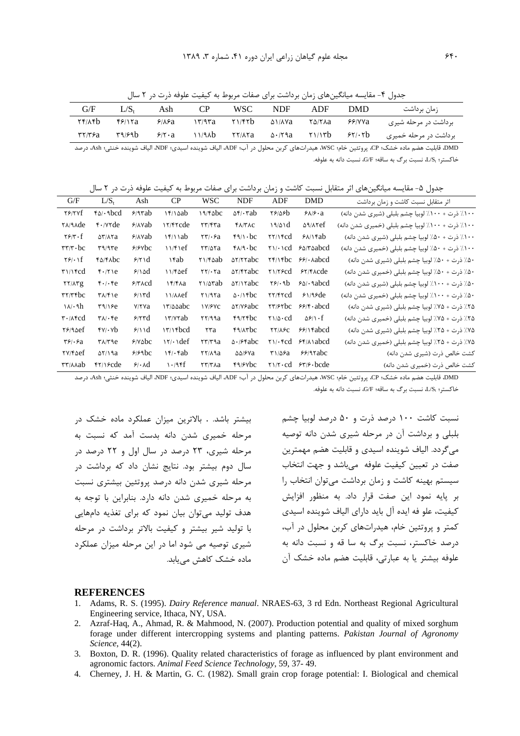جدول ۴- مقایسه میانگینهای زمان برداشت برای صفات مربوط به کیفیت علوفه ذرت در ۲ سال

| G/F                                                              | $L/S_{t}$ | Ash           |        | WSC                                               | <b>NDF</b>         | ADF               | DMD    | زمان برداشت           |
|------------------------------------------------------------------|-----------|---------------|--------|---------------------------------------------------|--------------------|-------------------|--------|-----------------------|
| $Yf/\lambda f$                                                   | ۴۶/۱۲a    | ۶۱۸۶a         | ۱۳/۹۳a | Y1/FYb                                            | ۵۱/۸۷a             | ۲۵/۲۸a            | ۶۶/۷۷a | برداشت در مرحله شیری  |
| $\mathbf{r}$ $\mathbf{r}$ $\mathbf{r}$ $\mathbf{r}$ $\mathbf{r}$ | 49/96     | $9/1 \cdot a$ | ۱۱/۹۸b | $\mathbf{Y} \mathbf{Y} / \mathbf{A} \mathbf{Y}$ a | $\Delta \cdot 79a$ | $\gamma$ $\gamma$ | 55/15  | برداشت در مرحله خمیری |

DMD، قابليت هضم ماده خشک؛ CP، پروتئين خام؛ WSC، هيدراتهاي كربن محلول در آب؛ ADF، الياف شوينده اسيدي؛ NDF، الياف شوينده خنثي؛ Ash، درصد خاكستر؛ ، L/S نسبت برگ به ساقه؛ G/F، نسبت دانه به علوفه.

جدول ۵– مقایسه میانگینهای اثر متقابل نسبت کاشت و زمان برداشت برای صفات مربوط به کیفیت علوفه ذرت در ۲ سال

| G/F                                                             | $L/S_t$                                               | Ash                   | CP                   | <b>WSC</b>                                                | <b>NDF</b>                    | ADF                                          | <b>DMD</b>                                                                                                                   | اثر متقابل نسبت كاشت و زمان برداشت               |
|-----------------------------------------------------------------|-------------------------------------------------------|-----------------------|----------------------|-----------------------------------------------------------|-------------------------------|----------------------------------------------|------------------------------------------------------------------------------------------------------------------------------|--------------------------------------------------|
| $Y$ $Y$ $Y$ $Y$ $Y$ $Y$ $Y$ $Y$ $Y$ $Y$ $Y$                     | $f_0/\cdot$ abcd                                      | $9/9$ rab             | ۱۴/۱۵ab              | 19/6                                                      | $\Delta f / \cdot \text{rad}$ | 88126                                        | $9\lambda$ / $9\cdot a$                                                                                                      | ١٠٠٪ ذرت + ١٠٠٪ لوبيا چشم بلبلي (شيري شدن دانه)  |
| <b>YA/9Ade</b>                                                  | $f \cdot$ / $v \tau$ de                               | $9/1$ Yab             | IT/Frcde             | ۲۳/۴۳a                                                    | $f\lambda/TAC$                | 19/01d                                       | <b>AMYef</b>                                                                                                                 | ۱۰۰٪ ذرت + ۱۰۰٪ لوبیا چشم بلبلی (خمیری شدن دانه) |
| $\mathbf{Y}$ $\mathbf{F}$ $\cdot$ $\mathbf{f}$                  | $\Delta \mathbf{Y}/\mathbf{A} \mathbf{Y}$ a           | $9/(\lambda \vee ab)$ | $\frac{15}{10}$      | $\mathsf{r}\mathsf{r}\mathsf{l}\cdot\mathsf{s}\mathsf{a}$ | $f_1 \wedge b$ c              | $\mathsf{YY}/\mathsf{Y}\mathsf{c}\mathsf{d}$ | $8\lambda$ / $\tan$                                                                                                          | ١٠٠٪ ذرت + ۵٠٪ لوبيا چشم بلبلي (شيري شدن دانه)   |
| $\mathbf{r}\mathbf{r}/\mathbf{r}\cdot\mathbf{b}\mathbf{c}$      | $\mathbf{r}$ $\mathbf{q}$                             | $9/8$ Ybc             | 11/f1ef              | $\frac{5}{2}$                                             | $f \wedge / 9 \cdot bc$       |                                              | $\gamma \wedge \cdots \wedge \gamma$ $\gamma \wedge \cdots \wedge \gamma$                                                    | ١٠٠٪ ذرت + ۵٠٪ لوبيا چشم بلبلي (خميري شدن دانه)  |
| $Y$ ۶/۰۱f                                                       | <b>FA/FAbc</b>                                        | 9/1d                  | ۱۴ab                 | $Y1/F\triangle ab$                                        | $\Delta Y/Y$ rabc             |                                              | $Yf/Yfbc$ $99/- \lambda abcd$                                                                                                | ۵۰٪ ذرت + ۵۰٪ لوبیا چشم بلبلی (شیری شدن دانه)    |
| $\mathbf{r}$ $\mathbf{r}$                                       | $f \cdot / \tau$ )e                                   | 9/10d                 | $11/F\triangle$ ef   | $\mathbf{Y} \mathbf{Y} / \cdot \mathbf{Y} \mathbf{a}$     | $\Delta Y$ /۴۲abc             | $Y\$ 1/75cd                                  | $57/F$ Acde                                                                                                                  | ۵۰٪ ذرت + ۵۰٪ لوبيا چشم بلبلي (خميري شدن دانه)   |
| YY/AYg                                                          | $f \cdot / \cdot f e$                                 | $27$ $\alpha$         | $\frac{15}{2}$       | $Y)/\Delta$ rab                                           | $\Delta Y/\Delta X$           | $\mathbf{Y}$ .9b                             | $80 \cdot \text{4abcd}$                                                                                                      | ۵۰٪ ذرت + ۱۰۰٪ لوبیا چشم بلبلی (شیری شدن دانه)   |
| $\mathsf{r}\mathsf{r}/\mathsf{r}\mathsf{r}\mathsf{b}\mathsf{c}$ | $\mathsf{r}\wedge\mathsf{r}\vee\mathsf{e}$            | 9/17d                 | 11/AAef              | Y1/97a                                                    | $\Delta$ ./16bc               | <b>TY/FTCd</b>                               | 51/95de                                                                                                                      | ۵۰٪ ذرت + ۱۰۰٪ لوبیا چشم بلبلی (خمیری شدن دانه)  |
| $\lambda/\cdot 9h$                                              | $\mathsf{r}\mathsf{a}/\mathsf{r}\mathsf{e}$           | <b>Y/YYa</b>          | IT/AAabc             | <b>IV/FVC</b>                                             | <b>AY/Y&amp;bc</b>            |                                              | $\mathsf{r}\mathsf{r}/\mathsf{s}\mathsf{r}\mathsf{b}\mathsf{c}$ $\mathsf{r}\mathsf{s}/\mathsf{r}\mathsf{\cdot}\mathsf{abcd}$ | ۲۵٪ ذرت + ۷۵٪ لوبیا چشم بلبلی (شیری شدن دانه)    |
| $\mathbf{r} \cdot \mathbf{A}\mathbf{f}$ cd                      | $\mathsf{r}\wedge\mathsf{r}\cdot\mathsf{r}\mathrm{e}$ | 5/5                   | <b>IT/YYab</b>       | YY/99a                                                    | $f9/7$ fbc                    | $\gamma \wedge \alpha \cdot \text{cd}$       | $\Delta \mathcal{S}/\Lambda \cdot f$                                                                                         | ۲۵٪ ذرت + ۷۵٪ لوبیا چشم بلبلی (خمیری شدن دانه)   |
| $Y$ ۶/۹۵ef                                                      | $f(v) \cdot v$                                        | 9/11d                 | $17/16$ d            | ۲۳а                                                       | <b>FILITOC</b>                | $\frac{1}{2}$                                | $99/1$ fabcd                                                                                                                 | ۷۵٪ ذرت + ۲۵٪ لوبیا چشم بلبلی (شیری شدن دانه)    |
| $\mathbf{r}\mathbf{s}_1\cdot\mathbf{s}_a$                       | $\mathsf{r}\wedge\mathsf{r}\vee\mathsf{e}$            | 9/10                  | $\frac{1}{\sqrt{1}}$ | $\mathbf{r}\mathbf{r}/\mathbf{r}$ a                       | $\Delta$ ./ $5$ fabc          |                                              | $\gamma \wedge \gamma$ fcd $\gamma \wedge \gamma$ abcd                                                                       | ۷۵٪ ذرت + ۲۵٪ لوبیا چشم بلبلی (خمیری شدن دانه)   |
| <b>TV/FACE</b>                                                  | $\Delta Y/\Delta a$                                   | 990c                  | $\sqrt{f}/f$ ab      | YY/A9a                                                    | $\Delta\Delta$ / $5$ Ya       | ۳۱/۵۶a                                       | $59/9$ rabc                                                                                                                  | كشت خالص ذرت (شيرى شدن دانه)                     |
| <b>TT/AAab</b>                                                  | $f\frac{1}{2}$                                        | 9/4                   | 1.9ff                | ۲۳/۳۸a                                                    | ۴۹/۶۷bc                       |                                              | $\gamma \gamma \cdot \text{cd}$ $\gamma \gamma \cdot \text{bcde}$                                                            | كشت خالص ذرت (خميري شدن دانه)                    |

DMD، قابليت هضم ماده خشک؛ CP، پروتئين خام؛ WSC، هيدراتهاي كربن محلول در آب؛ ADF، الياف شوينده اسيدي؛ NDF، الياف شوينده خنثي؛ Ash، درصد خاكستر؛ ،L/S نسبت برگ به ساقه؛ G/F، نسبت دانه به علوفه.

بیشتر باشد. . بالاترین میزان عملکرد ماده خشک در مرحله خمیری شدن دانه بدست آمد که نسبت به مرحله شیری، ۲۳ درصد در سال اول و ۲۲ درصد در سال دوم بیشتر بود. نتایج نشان داد که برداشت در مرحله شیری شدن دانه درصد پروتئین بیشتری نسبت په مرحله خميري شدن دانه دارد. پنايراين با توجه په هدف تولید می توان بیان نمود که برای تغذیه دامهایی با تولید شیر بیشتر و کیفیت بالاتر برداشت در مرحله شیری توصیه می شود اما در این مرحله میزان عملکرد مادہ خشک کاھش مے بابد.

نسبت کاشت ۱۰۰ درصد ذرت و ۵۰ درصد لوبیا چشم بلبلی و برداشت آن در مرحله شیری شدن دانه توصیه می گردد. الیاف شوینده اسیدی و قابلیت هضم مهمترین صفت در تعیین کیفیت علوفه می باشد و جهت انتخاب سیستم بهینه کاشت و زمان برداشت میتوان انتخاب را بر پایه نمود این صفت قرار داد. به منظور افزایش كيفيت، علو فه ايده آل بايد داراي الياف شوينده اسيدي کمتر و پروتئین خام، هیدراتهای کربن محلول در آب، درصد خاکستر، نسبت برگ به سا قه و نسبت دانه به علوفه بيشتر يا به عبارتي، قابليت هضم ماده خشک آن

## **REFERENCES**

- 1. Adams, R. S. (1995). Dairy Reference manual. NRAES-63, 3 rd Edn. Northeast Regional Agricultural Engineering service, Ithaca, NY, USA.
- 2. Azraf-Haq, A., Ahmad, R. & Mahmood, N. (2007). Production potential and quality of mixed sorghum forage under different intercropping systems and planting patterns. Pakistan Journal of Agronomy Science, 44(2).
- 3. Boxton, D. R. (1996). Quality related characteristics of forage as influenced by plant environment and agronomic factors. Animal Feed Science Technology, 59, 37-49.
- 4. Cherney, J. H. & Martin, G. C. (1982). Small grain crop forage potential: I. Biological and chemical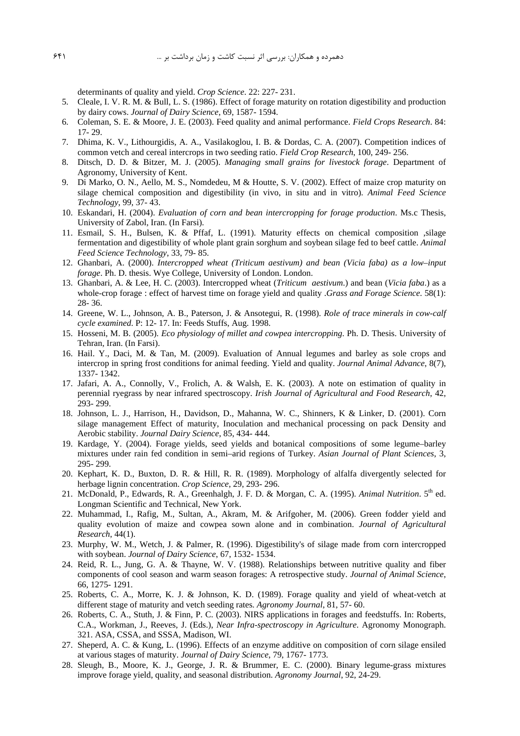determinants of quality and yield. Crop Science. 22: 227-231.

- 5. Cleale, I. V. R. M. & Bull, L. S. (1986). Effect of forage maturity on rotation digestibility and production by dairy cows. Journal of Dairy Science, 69, 1587-1594.
- 6. Coleman, S. E. & Moore, J. E. (2003). Feed quality and animal performance. Field Crops Research. 84:  $17 - 29$ .
- 7. Dhima, K. V., Lithourgidis, A. A., Vasilakoglou, I. B. & Dordas, C. A. (2007). Competition indices of common vetch and cereal intercrops in two seeding ratio. Field Crop Research, 100, 249-256.
- 8. Ditsch, D. D. & Bitzer, M. J. (2005). Managing small grains for livestock forage. Department of Agronomy, University of Kent.
- 9. Di Marko, O. N., Aello, M. S., Nomdedeu, M & Houtte, S. V. (2002). Effect of maize crop maturity on silage chemical composition and digestibility (in vivo, in situ and in vitro). Animal Feed Science Technology, 99, 37-43.
- 10. Eskandari, H. (2004). Evaluation of corn and bean intercropping for forage production. Ms.c Thesis, University of Zabol, Iran. (In Farsi).
- 11. Esmail, S. H., Bulsen, K. & Pffaf, L. (1991). Maturity effects on chemical composition , silage fermentation and digestibility of whole plant grain sorghum and soybean silage fed to beef cattle. Animal Feed Science Technology, 33, 79-85.
- 12. Ghanbari, A. (2000). Intercropped wheat (Triticum aestivum) and bean (Vicia faba) as a low-input forage. Ph. D. thesis. Wye College, University of London. London.
- 13. Ghanbari, A. & Lee, H. C. (2003). Intercropped wheat (Triticum aestivum.) and bean (Vicia faba.) as a whole-crop forage : effect of harvest time on forage yield and quality .Grass and Forage Science. 58(1):  $28 - 36$ .
- 14. Greene, W. L., Johnson, A. B., Paterson, J. & Ansotegui, R. (1998). Role of trace minerals in cow-calf cycle examined. P: 12- 17. In: Feeds Stuffs, Aug. 1998.
- 15. Hosseni, M. B. (2005). Eco physiology of millet and cowpea intercropping. Ph. D. Thesis. University of Tehran, Iran. (In Farsi).
- 16. Hail. Y., Daci, M. & Tan, M. (2009). Evaluation of Annual legumes and barley as sole crops and intercrop in spring frost conditions for animal feeding. Yield and quality. Journal Animal Advance, 8(7), 1337-1342.
- 17. Jafari, A. A., Connolly, V., Frolich, A. & Walsh, E. K. (2003). A note on estimation of quality in perennial ryegrass by near infrared spectroscopy. Irish Journal of Agricultural and Food Research, 42, 293-299.
- 18. Johnson, L. J., Harrison, H., Davidson, D., Mahanna, W. C., Shinners, K & Linker, D. (2001). Corn silage management Effect of maturity, Inoculation and mechanical processing on pack Density and Aerobic stability. Journal Dairy Science, 85, 434-444.
- 19. Kardage, Y. (2004). Forage yields, seed yields and botanical compositions of some legume-barley mixtures under rain fed condition in semi-arid regions of Turkey. Asian Journal of Plant Sciences, 3, 295-299.
- 20. Kephart, K. D., Buxton, D. R. & Hill, R. R. (1989). Morphology of alfalfa divergently selected for herbage lignin concentration. Crop Science, 29, 293-296.
- 21. McDonald, P., Edwards, R. A., Greenhalgh, J. F. D. & Morgan, C. A. (1995). Animal Nutrition. 5th ed. Longman Scientific and Technical, New York.
- 22. Muhammad, I., Rafig, M., Sultan, A., Akram, M. & Arifgoher, M. (2006). Green fodder yield and quality evolution of maize and cowpea sown alone and in combination. Journal of Agricultural Research, 44(1).
- 23. Murphy, W. M., Wetch, J. & Palmer, R. (1996). Digestibility's of silage made from corn intercropped with soybean. Journal of Dairy Science, 67, 1532-1534.
- 24. Reid, R. L., Jung, G. A. & Thayne, W. V. (1988). Relationships between nutritive quality and fiber components of cool season and warm season forages: A retrospective study. Journal of Animal Science, 66, 1275 - 1291.
- 25. Roberts, C. A., Morre, K. J. & Johnson, K. D. (1989). Forage quality and yield of wheat-vetch at different stage of maturity and vetch seeding rates. Agronomy Journal, 81, 57-60.
- 26. Roberts, C. A., Stuth, J. & Finn, P. C. (2003). NIRS applications in forages and feedstuffs. In: Roberts, C.A., Workman, J., Reeves, J. (Eds.), Near Infra-spectroscopy in Agriculture. Agronomy Monograph. 321. ASA, CSSA, and SSSA, Madison, WI.
- 27. Sheperd, A. C. & Kung, L. (1996). Effects of an enzyme additive on composition of corn silage ensiled at various stages of maturity. Journal of Dairy Science, 79, 1767-1773.
- 28. Sleugh, B., Moore, K. J., George, J. R. & Brummer, E. C. (2000). Binary legume-grass mixtures improve forage yield, quality, and seasonal distribution. Agronomy Journal, 92, 24-29.